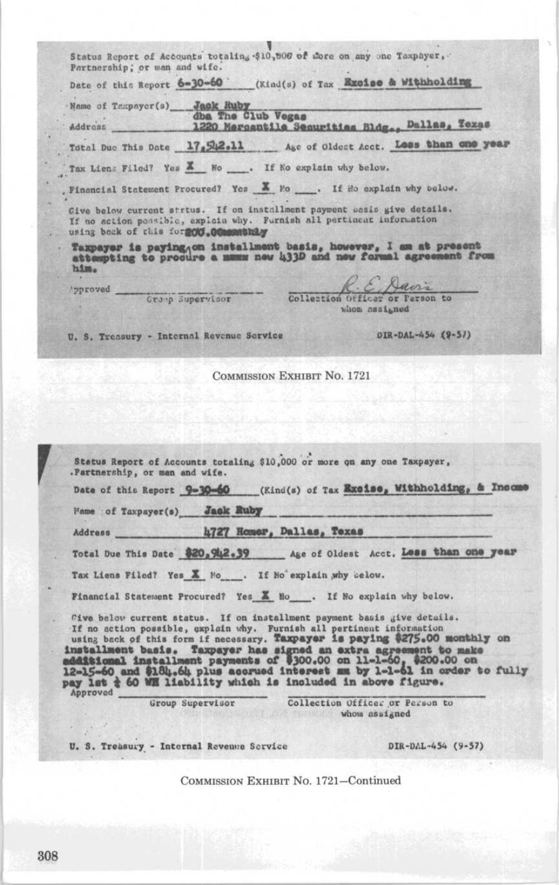Status Report of Accounts totaling \$10,000 of More on any one Taxpayer, Partnership; or man and wife. Date of this Report 6-30-60 (Kind(s) of Tax Excise & Withholding Name of Texpayer(s) Jack Ruby Vegas 1220 Mercentile Securities Bldg., Dallas, Texas Address Total Due This Date 17,502.11 Age of Oldest Acct. Loss than one year Tax Liens Filed? Yes X No . If No explain why below. . Financial Statement Procured? Yes X No . If Ho explain why below. Give below current strtus. If on installment payment casis give details. If no action possible, exploin why. Furnish all pertinent information using back of this for 200.00mmmthly Taxpayer is paying on installment basis, however, I am at present attempting to procure a mumm new 433D and new formal agreement from  $h2m<sub>o</sub>$ Davis pproved Crop Supervisor Collection Officer or Farson to whom assigned DIR-DAL-454 (9-57) U. S. Treasury - Internal Revenue Service **COMMISSION EXHIBIT NO. 1721** Status Report of Accounts totaling \$10,000 or more on any one Taxpayer, .Partnership, or man and wife. Date of this Report 9-30-60 (Kind(s) of Tax Excise, Withholding, & Income Wame of Taxpayer(s) Jack Ruby 4727 Homor, Dallas, Texas Address Total Due This Date \$20,942.39 Age of Oldest Acct. Less than one year Tax Liens Filed? Yes X No . If No explain why below. Financial Statement Procured? Yes & No . If No explain why below. Cive below current status. If on installment payment basis give details. If no action possible, awplain why. Furnish all pertinent information<br>If no action possible, awplain why. Furnish all pertinent information<br>using back of this form if necessary. Taxpayer is paying \$275.00 monthly on<br>instal Approved Collection Officer or Person to Group Supervisor whom assigned DIR-DAL-454 (9-57) U. S. Treasury - Internal Revenue Service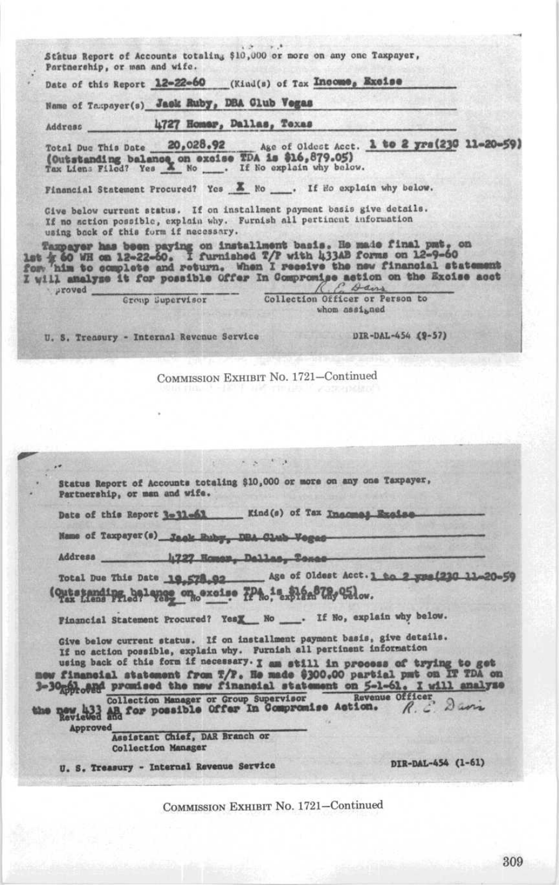Status Report of Accounts totaling \$10,000 or more on any one Taxpayer, Partnership, or man and wife. Date of this Report 12-22-60 (Kind(s) of Tax Income, Excise Name of Taxpayer(s) Jack Ruby, DBA Club Vogas 4727 Homer, Dallas, Texas Address Age of Oldest Acct. 1 to 2 yrs (230 11-20-59) Total Due This Date 20,028.92 (Outstanding balance on excise TDA is \$16,879.05)<br>Tax Liens Filed? Yes X No ..... If No explain why below. Financial Statement Procured? Yes & No ... If Ho explain why below. Give below current status. If on installment payment basis give details. If no action possible, explain why. Furnish all pertinent information using back of this form if necessary. Taxpayer has been paying on installment basis. He made final pmt, on<br>let  $\frac{1}{2}$  60 WH on 12-22-60. I furnished T/P with 433AB forms on 12-9-60<br>for 'him to complete and return. When I receive the new financial statement I will amalyze it for possible Offer In Compromise action on the Excise acct Group Supervisor whom assigned U. S. Treasury - Internal Revenue Service DIR-DAL-454 (9-57) COMMISSION EXHIBIT No. 1721-Continued  $\mathcal{L} = \mathcal{L} - \mathcal{L} = \mathcal{L} - \mathcal{L}$ 記 Status Report of Accounts totaling \$10,000 or more on any one Taxpayer, Partnership, or man and wife. Date of this Report 3-11-61 \_\_ Kind(s) of Tax Incomes Exclas Mame of Taxpayer(s) Jack Buby, DBA Club Vegas-Address h727 Homes, Dallas, Tones-Total Due This Date 19,578.02 Age of Oldest Acct.1 to 2 yea (210 11-20-50 Outstanding belance on excise PPA is \$164878,051 ... Financial Statement Procured? YesX No \_\_. If No, explain why below. Give below current status. If on installment payment basis, give details. If no action possible, explain why. Furnish all pertinent information using back of this form if necessary. I am still in process of trying to get w financial statement from T/F. He made \$300.00 partial pmt on IT TDA on 3-30 phone promised the new financial statement on 5-1-61. I will analyze the new 433 and for possible offer In Compromise Action. **Approved** Assistant Chief, DAR Branch or **Collection Manager** DIR-DAL-454 (1-61) U. S. Treasury - Internal Revenue Service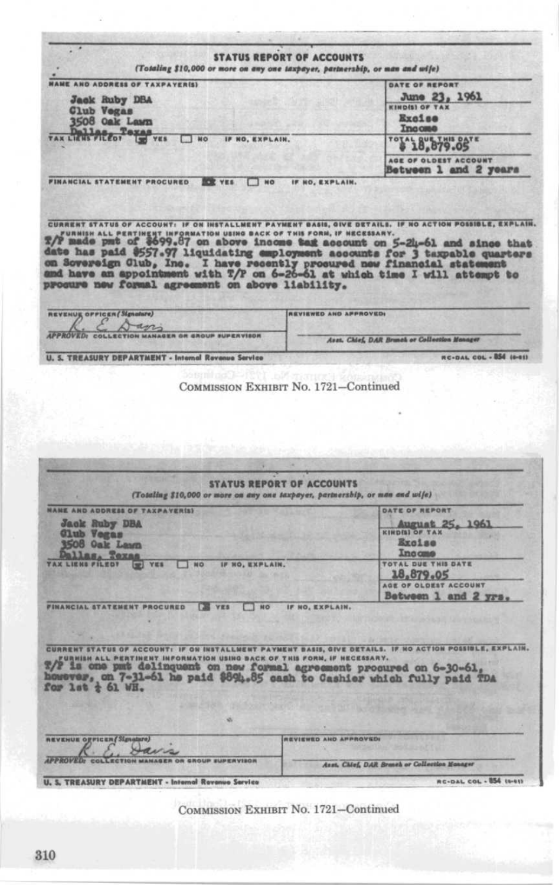|                                                                                                                                                                                                                                                                                                       | <b>STATUS REPORT OF ACCOUNTS</b><br>(Totaling \$10,000 or more on any one taxpayer, partnership, or man and wife)                                                                                                                                                                                                                                                                                                                                                                                                       |
|-------------------------------------------------------------------------------------------------------------------------------------------------------------------------------------------------------------------------------------------------------------------------------------------------------|-------------------------------------------------------------------------------------------------------------------------------------------------------------------------------------------------------------------------------------------------------------------------------------------------------------------------------------------------------------------------------------------------------------------------------------------------------------------------------------------------------------------------|
| <b>FAME AND ADDRESS OF TAXPAYER(S)</b>                                                                                                                                                                                                                                                                | DATE OF REPORT                                                                                                                                                                                                                                                                                                                                                                                                                                                                                                          |
| <b>Jack Ruby DBA</b>                                                                                                                                                                                                                                                                                  | June 23, 1961                                                                                                                                                                                                                                                                                                                                                                                                                                                                                                           |
| Club Vegas                                                                                                                                                                                                                                                                                            | <b>KINDISI OF TAX</b>                                                                                                                                                                                                                                                                                                                                                                                                                                                                                                   |
| 3508 Oak Lawn                                                                                                                                                                                                                                                                                         | <b>Excise</b>                                                                                                                                                                                                                                                                                                                                                                                                                                                                                                           |
| TAX LIENS PILEOT STAR                                                                                                                                                                                                                                                                                 | Income                                                                                                                                                                                                                                                                                                                                                                                                                                                                                                                  |
| NO <sub>1</sub><br>IF NO, EXPLAIN.                                                                                                                                                                                                                                                                    | "#18,879.05"                                                                                                                                                                                                                                                                                                                                                                                                                                                                                                            |
| <b>FINANCIAL STATEMENT PROCURED</b><br><b>DOC YES</b><br>$\blacksquare$                                                                                                                                                                                                                               | AGE OF OLDEST ACCOUNT<br>Between 1 and 2 years<br>IF NO, EXPLAIN.                                                                                                                                                                                                                                                                                                                                                                                                                                                       |
| procure new formal agreement on above liability.                                                                                                                                                                                                                                                      | CURRENT STATUS OF ACCOUNT: IF ON INSTALLMENT PAYMENT BASIS, GIVE DETAILS. IF NO ACTION POSSIBLE, EXPLAIN.<br>T/FURNISH ALL PERTINENT INFORMATION USING BACK OF THIS FORM, IF NECESSARY.<br>T/P made pmt of \$699.87 on above income task account on 5-24-61 and since that<br>date has paid \$557.97 liquidating employeent accounts for 3 taxpable quarters<br>on Sovereign Club, Inc. I have recently procured new financial statement<br>and have an appointment with T/P on 6-26-61 at which time I will attempt to |
| REVENUE OFFICER (Signature)                                                                                                                                                                                                                                                                           | <b>REVIEWED AND APPROVED.</b>                                                                                                                                                                                                                                                                                                                                                                                                                                                                                           |
| an<br><b>APPROVED:</b>                                                                                                                                                                                                                                                                                |                                                                                                                                                                                                                                                                                                                                                                                                                                                                                                                         |
| COLLECTION MANAGER OR GROUP SUPERVISOR                                                                                                                                                                                                                                                                | Avet. Chief, DAR Brunch or Collection Manager                                                                                                                                                                                                                                                                                                                                                                                                                                                                           |
| <b>U. S. TREASURY DEPARTMENT - Internal Revenue Service</b>                                                                                                                                                                                                                                           | RC-DAL COL - BS4 (0-01)                                                                                                                                                                                                                                                                                                                                                                                                                                                                                                 |
|                                                                                                                                                                                                                                                                                                       | COMMISSION EXHIBIT No. 1721-Continued                                                                                                                                                                                                                                                                                                                                                                                                                                                                                   |
|                                                                                                                                                                                                                                                                                                       | <b>STATUS REPORT OF ACCOUNTS</b>                                                                                                                                                                                                                                                                                                                                                                                                                                                                                        |
|                                                                                                                                                                                                                                                                                                       | (Totaling \$10,000 or more on any one taxpayer, partnersbip, or man and wife)                                                                                                                                                                                                                                                                                                                                                                                                                                           |
|                                                                                                                                                                                                                                                                                                       | DATE OF REPORT                                                                                                                                                                                                                                                                                                                                                                                                                                                                                                          |
| Jack Ruby DBA                                                                                                                                                                                                                                                                                         | August 25, 1961                                                                                                                                                                                                                                                                                                                                                                                                                                                                                                         |
| <b>Club</b> Vegas                                                                                                                                                                                                                                                                                     | <b>KINDISI OF TAX</b>                                                                                                                                                                                                                                                                                                                                                                                                                                                                                                   |
| <b>3508 Oak Lawn</b>                                                                                                                                                                                                                                                                                  | <b>Excise</b>                                                                                                                                                                                                                                                                                                                                                                                                                                                                                                           |
| allas, Texas<br>IF NO. EXPLAIN.<br>YES<br>NO<br><b>Legal</b>                                                                                                                                                                                                                                          | Income<br><b>TOTAL DUE THIS DATE</b>                                                                                                                                                                                                                                                                                                                                                                                                                                                                                    |
|                                                                                                                                                                                                                                                                                                       | 18,879.05                                                                                                                                                                                                                                                                                                                                                                                                                                                                                                               |
|                                                                                                                                                                                                                                                                                                       | AGE OF OLDEST ACCOUNT                                                                                                                                                                                                                                                                                                                                                                                                                                                                                                   |
| <b>EX VES</b><br>1 <sub>HO</sub>                                                                                                                                                                                                                                                                      | Between 1 and 2 yrs.<br>IF NO. EXPLAIN.                                                                                                                                                                                                                                                                                                                                                                                                                                                                                 |
| FURNISH ALL PERTINENT INFORMATION USING BACK OF THIS FORM, IF NECESSARY.                                                                                                                                                                                                                              |                                                                                                                                                                                                                                                                                                                                                                                                                                                                                                                         |
| <b>NAME AND ADDRESS OF TAXPAYER(S)</b><br><b>TAX LIENS FILED?</b><br><b>FINANCIAL STATEMENT PROCURED</b><br>%/P is one pmt delinquent on new formal agreement procured on 6-30-61, however, on 7-31-61 he paid \$894.85 cash to Cashier which fully paid TDA<br>$\frac{1}{2}$ at $\frac{1}{2}$ 61 WH. |                                                                                                                                                                                                                                                                                                                                                                                                                                                                                                                         |
| REVENUE OFFICER (Signalsre)                                                                                                                                                                                                                                                                           | CURRENT STATUS OF ACCOUNT: IF ON INSTALLMENT PAYMENT BASIS, GIVE DETAILS. IF NO ACTION POSSIBLE, EXPLAIN.<br>REVIEWED AND APPROVED!                                                                                                                                                                                                                                                                                                                                                                                     |
|                                                                                                                                                                                                                                                                                                       |                                                                                                                                                                                                                                                                                                                                                                                                                                                                                                                         |
| <b>ROVED:</b><br><b>TION MANAGER OR GROUP EUPERVISOR</b>                                                                                                                                                                                                                                              | Asst. Chief, DAR Branch or Collection Honoger<br><b>RC-DAL COL - 854 (6-61)</b>                                                                                                                                                                                                                                                                                                                                                                                                                                         |

310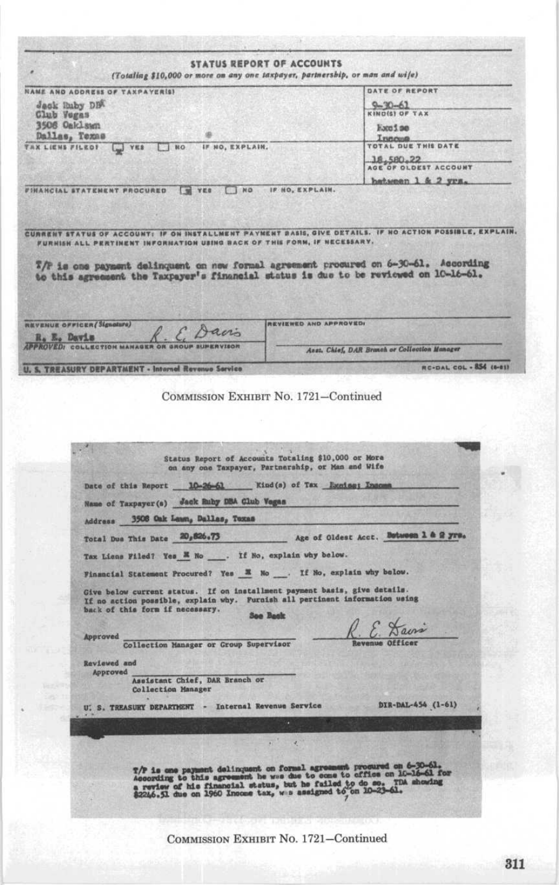|                         | <b>STATUS REPORT OF ACCOUNTS</b><br>(Totaling \$10,000 or more on any one taxpayer, partnership, or man and wife)                                                                           |                                                                                                                                                                                                                                                                                          |
|-------------------------|---------------------------------------------------------------------------------------------------------------------------------------------------------------------------------------------|------------------------------------------------------------------------------------------------------------------------------------------------------------------------------------------------------------------------------------------------------------------------------------------|
|                         | <b>NAME AND ADDRESS OF TAXPAYER(S)</b>                                                                                                                                                      | DATE OF REPORT                                                                                                                                                                                                                                                                           |
|                         | deck Ruby DBA                                                                                                                                                                               | $9 - 30 - 61$                                                                                                                                                                                                                                                                            |
| Club Vegas              | 3506 Oaklswn                                                                                                                                                                                | KIND(S) OF TAX                                                                                                                                                                                                                                                                           |
|                         | Dallas, Texas                                                                                                                                                                               | Eaco S pp<br>Incoma.                                                                                                                                                                                                                                                                     |
| <b>TAX LIENS FILED!</b> | NO IF NO, EXPLAIN.<br>VES                                                                                                                                                                   | <b>TOTAL DUE THIS DATE</b><br>18,580,22                                                                                                                                                                                                                                                  |
|                         |                                                                                                                                                                                             | AGE OF OLDEST ACCOUNT                                                                                                                                                                                                                                                                    |
|                         | <b>FINANCIAL STATEMENT PROCURED. TE YES</b>                                                                                                                                                 | NO IF HO, EXPLAIN.<br>CURRENT STATUS OF ACCOUNT: IF ON INSTALLMENT PAYMENT DASIS, GIVE DETAILS. IF NO ACTION POSSIBLE, EXPLAIN.                                                                                                                                                          |
|                         | FURNISH ALL PERTINENT INFORMATION USING BACK OF THIS FORM, IF NECESSARY.                                                                                                                    | 7/P is one payment delinquent on new formal agreement procured on 6-30-61. According<br>to this agreement the Taxpayer's financial status is due to be reviewed on 10-16-61.                                                                                                             |
|                         | <b>REVENUE OFFICER</b> (Signature)<br>. E. Davis                                                                                                                                            | REVIEWED AND APPROVED!                                                                                                                                                                                                                                                                   |
| R. E. Davis             | <b>APPROVED: COLLECTION MANAGEL</b>                                                                                                                                                         | Asst. Chief, DAR Branch or Collection Manager                                                                                                                                                                                                                                            |
|                         | TREASURY DEPARTMENT - Internal Revenue Service                                                                                                                                              | <b>RC-DAL COL - 854 (6-81)</b>                                                                                                                                                                                                                                                           |
|                         | Date of this Report 10-26-61 Kind(s) of Tax Luniss; Insom                                                                                                                                   | Status Report of Accounts Totaling \$10,000 or More<br>on any one Taxpayer, Partnership, or Man and Wife                                                                                                                                                                                 |
|                         | Name of Taxpayer (s) Jack Ruby DBA Glub Vegas                                                                                                                                               |                                                                                                                                                                                                                                                                                          |
|                         | Address 3506 Oak Lawn, Dallas, Toxas                                                                                                                                                        |                                                                                                                                                                                                                                                                                          |
|                         |                                                                                                                                                                                             | Total Due This Date 20,626.73 Age of Oldest Acct. Butween 1 & 2 yrs.                                                                                                                                                                                                                     |
|                         | Tax Liens Filed? Yes E No ___. If No, explain why below.                                                                                                                                    |                                                                                                                                                                                                                                                                                          |
|                         | Financial Statement Procured? Yes M No  If No, explain why below.                                                                                                                           |                                                                                                                                                                                                                                                                                          |
|                         | Give below current status. If on installment payment basis, give details.<br>If no action possible, explain why. Furnish all pertinent information using<br>back of this form if necessary. | <b>Soo Back</b>                                                                                                                                                                                                                                                                          |
|                         |                                                                                                                                                                                             | . E. Davis                                                                                                                                                                                                                                                                               |
|                         | Approved<br>Collection Manager or Group Supervisor                                                                                                                                          | levenue Officer                                                                                                                                                                                                                                                                          |
|                         | Reviewed and                                                                                                                                                                                |                                                                                                                                                                                                                                                                                          |
|                         | Approved<br>Assistant Chief, DAR Branch or<br>Collection Manager                                                                                                                            |                                                                                                                                                                                                                                                                                          |
|                         | U. S. TREASURY DEPARTMENT - Internal Revenue Service                                                                                                                                        | DIR-DAL-454 (1-61)                                                                                                                                                                                                                                                                       |
|                         |                                                                                                                                                                                             |                                                                                                                                                                                                                                                                                          |
|                         |                                                                                                                                                                                             |                                                                                                                                                                                                                                                                                          |
|                         |                                                                                                                                                                                             | T/P is one payment delinquent on formal agreement procured on 6-30-61, Associating to this agreement he was due to occe to office on 10-16-61 for<br>a review of his financial status, but he failed to do so. The showing \$2246.51 due on 1960 Income tax, we assigned to on 10-23-61. |
|                         |                                                                                                                                                                                             |                                                                                                                                                                                                                                                                                          |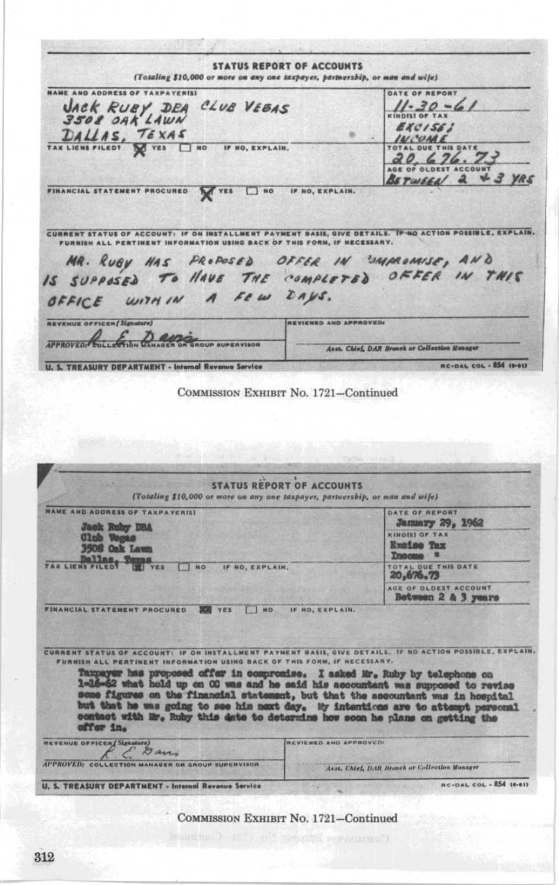**STATUS REPORT OF ACCOUNTS** (Totaling \$10,000 or more on any one taxpayer, partnersbip, or man and wife) **NAME AND ADDRESS OF TAXPAYER(S)** DATE OF REPORT JACK RUBY DEA CLUB VEBAS<br>3508 0AK LAWN  $11 - 30 - 61$ EXCISE! DALLAS, TEXAS INCOME **HIS DATE** IF NO, EXPLAIN. TAL DUE  $20.676.73$ BETWEEN 2 + 3 YRS FINANCIAL STATEMENT PROCURED TES UND IF NO, EXPLAIN. CURRENT STATUS OF ACCOUNT: IF ON INSTALLMENT PAYMENT DASIS, GIVE DETAILS. IP NO ACTION POSSIBLE, EXPLAIN. INFORMATION USING BACK OF THIS FORM, IF NECESSARY **FURNISH ALL I** MR. RUBY HAS PROPOSED OFFER IN UMPROMISE, AND .<br>IS SUPPOSED TO HAVE THE COMPLETED OFFER IN THIS OFFICE WITHIN A FEW DAYS. *<u>AEVENUE OFFICEN/Signature</u>* REVIEWED AND APPROVED. JORNOVER L. L. D. appear Asst. Chief, DAR Branch or Collection Monager **RC-DAL COL - 854 10-011 U. S. TREASURY DEPARTMENT - Internal Revenue Service** COMMISSION EXHIBIT No. 1721-Continued STATUS REPORT OF ACCOUNTS (Totaling \$10,000 or more on any one taxpayer, partnersbip, or man and wife) **NAME AND ADDRESS OF TAXPAYER(S)** DATE OF REPORT January 29, 1962 Jack Ruby DBA<br>Club Vegas<br>3506 Oak Lawn **KINDISS OF TAX** Excise Tax **Income E**<br>TOTAL QUE THIS DATE TAX LIENS FILED THE VES  $T$  NO IF NO. EXPLAIN. AGE OF OLDEST ACCOUNT Between 2 & 3 years FINANCIAL STATEMENT PROCURED SOU YES INO IF NO, EXPLAIN. CURRENT STATUS OF ACCOUNT: IF ON INSTALLMENT PAYMENT BASIS, GIVE DETAILS. IF NO ACTION POSSIBLE, EXPLAIN. FURNISH ALL PERTINENT INFORMATION USING BACK OF THIS FORM, IF NECESSAR

Taxpayer has proposed offer in compromise. I asked Mr. Ruby by telephone on 1-16-62 what hold up on 00 was and he said his accountant was supposed to revise some figures on the financial statement, but that the accountant offer in.

| <b>REVENUE OFFICER Signature)</b>                           | <b>INCVIEWED AND APPROVED!</b>                |
|-------------------------------------------------------------|-----------------------------------------------|
| APPROVED: COLLECTION MANAGER OR GROUP SUPERVISOR            | Asst. Chief, DAR Branch or Collection Manager |
| <b>U. S. TREASURY DEPARTMENT - Internal Revenue Service</b> | <b>AC-DAL COL - 854 16-812</b>                |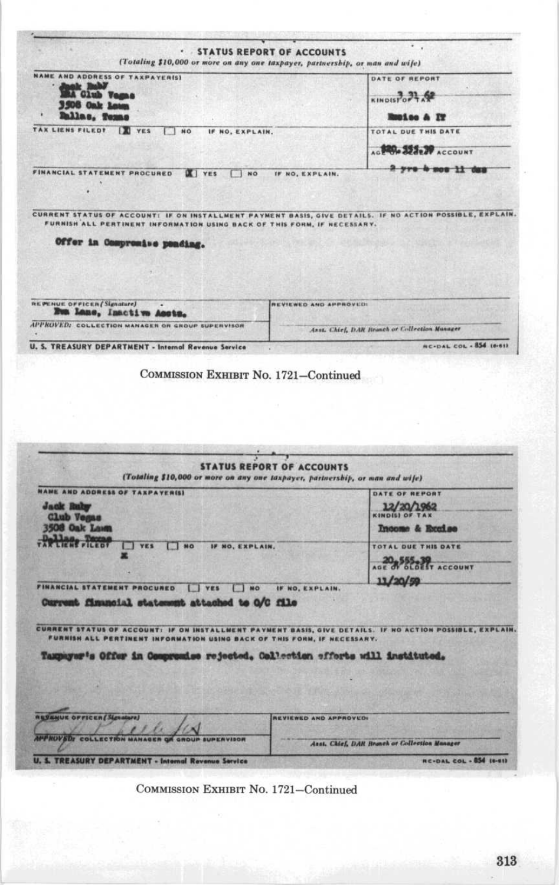| . STATUS REPORT OF ACCOUNTS<br>(Totaling \$10,000 or more on any one taxpayer, partnership, or man and wife)                                                                          |                                                              |
|---------------------------------------------------------------------------------------------------------------------------------------------------------------------------------------|--------------------------------------------------------------|
| NAME AND ADDRESS OF TAXPAYER(S)                                                                                                                                                       | DATE OF REPORT                                               |
| sak Italiy<br><b>MA Club</b> Vagas                                                                                                                                                    | KINDISPOPE AP                                                |
| 3508 Oak Laws                                                                                                                                                                         |                                                              |
| <b>Rallas, Tomas</b>                                                                                                                                                                  | <b>Repise &amp; IT</b>                                       |
| TAX LIENS FILEDT   VES<br>$\blacksquare$<br>IF NO, EXPLAIN.                                                                                                                           | TOTAL DUE THIS DATE                                          |
|                                                                                                                                                                                       | AG BOOR SEARCH ACCOUNT                                       |
| FINANCIAL STATEMENT PROCURED<br>$X$ YES<br>NO <sub>1</sub><br>IF NO, EXPLAIN.                                                                                                         | 2 yrs 4 mos 11 dag                                           |
|                                                                                                                                                                                       |                                                              |
| CURRENT STATUS OF ACCOUNT: IF ON INSTALLMENT PAYMENT BASIS, GIVE DETAILS. IF NO ACTION POSSIBLE, EXPLAIN.<br>FURNISH ALL PERTINENT INFORMATION USING BACK OF THIS FORM, IF NECESSARY. |                                                              |
| Offer in Compromise ponding.                                                                                                                                                          |                                                              |
|                                                                                                                                                                                       |                                                              |
|                                                                                                                                                                                       |                                                              |
|                                                                                                                                                                                       |                                                              |
| REPENUE OFFICER (Signature)                                                                                                                                                           | REVIEWED AND APPROVED!                                       |
| Eva Lane, Inactive Assts.                                                                                                                                                             |                                                              |
| APPROVED: COLLECTION MANAGER OR GROUP SUPERVISOR                                                                                                                                      | Anst. Chief, DAR Reinch or Collection Manager                |
| <b>U. S. TREASURY DEPARTMENT - Internal Revenue Service</b>                                                                                                                           | <b>BC-DAL COL - 854 10-611</b>                               |
| COMMISSION EXHIBIT No. 1721-Continued                                                                                                                                                 |                                                              |
|                                                                                                                                                                                       |                                                              |
| <b>STATUS REPORT OF ACCOUNTS</b><br>(Totaling \$10,000 or more on any one taxpayer, partnership, or man and wife)                                                                     |                                                              |
|                                                                                                                                                                                       | DATE OF REPORT                                               |
| <b>Jack Raley</b>                                                                                                                                                                     |                                                              |
| <b>Club Vegas</b>                                                                                                                                                                     | 12/20/1962                                                   |
| <b>NAME AND ADDRESS OF TAXPAYER(S)</b><br>3508 Oak Lawn                                                                                                                               | Income & Excalse                                             |
| Henr Ficcor<br><b>YES</b><br>$\Box$ NO<br>IF NO, EXPLAIN.<br>m                                                                                                                        | TOTAL DUE THIS DATE                                          |
|                                                                                                                                                                                       | AGE & SLOELT ACCOUNT                                         |
|                                                                                                                                                                                       | 11/20/59                                                     |
| Ves<br><b>NO</b><br>IF NO, EXPLAIN.                                                                                                                                                   |                                                              |
| Current fimancial statement attached to O/C file                                                                                                                                      |                                                              |
|                                                                                                                                                                                       |                                                              |
| FURNISH ALL PERTINENT INFORMATION USING BACK OF THIS FORM, IF NECESSARY.                                                                                                              |                                                              |
|                                                                                                                                                                                       |                                                              |
| Taxpayer's Offer in Compromise rejected, Collection efforts will instituted.                                                                                                          |                                                              |
|                                                                                                                                                                                       |                                                              |
|                                                                                                                                                                                       |                                                              |
|                                                                                                                                                                                       | PAYMENT BASIS, GIVE DETAILS. IF NO ACTION POSSIBLE, EXPLAIN. |
| FINANCIAL STATEMENT PROCURED<br>CURRENT STATUS OF ACCOUNT: IF ON INSTALLMENT<br><b><i><u>ASSENUE OFFICER (SLENGERE)</u></i></b>                                                       | <b>REVIEWED AND APPROVED:</b>                                |
| <b>MAP ROVED</b><br><b>GROUP SUPERVISOR</b>                                                                                                                                           | Asst. Chief, DAR Branch or Collection Manager                |

COMMISSION EXHIBIT No. 1721-Continued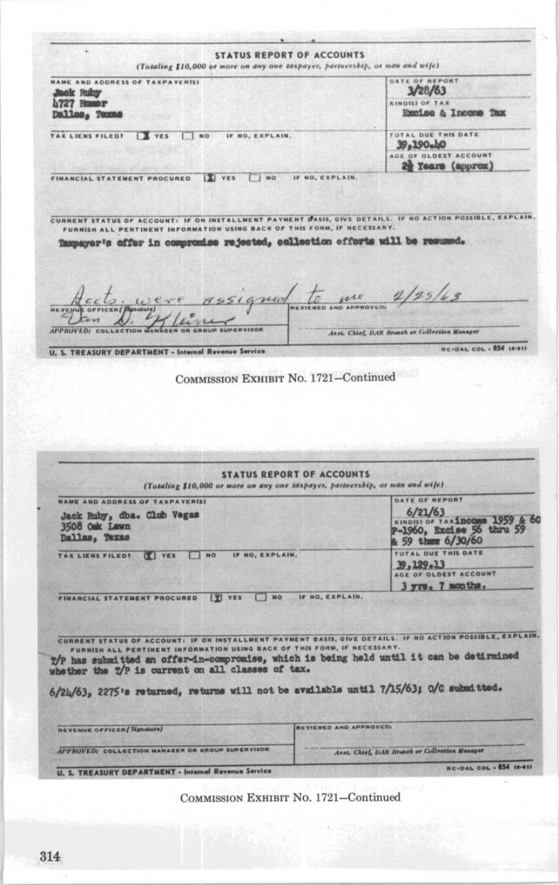**STATUS REPORT OF ACCOUNTS** (Totaling \$10,000 or more on any one taxpayer, partnership, or man and wife) DATE OF REPORT NAME AND ADDRESS OF TAXPAYER(S)  $3/28/63$ Jack Ruby **4727 HOMOT** KINDISI OF TAX Excise & Income Tax Dalles, Texas TAX LIENS FILED! IT YES INO IF NO, EXPLAIN. TOTAL OUE THIS DATE 39,190<sub>c</sub>ho AGE OF OLDEST ACCOUNT 2 Years (approx) FINANCIAL STATEMENT PROCURED | VES | NO IF NO, EXPLAIN. CURRENT STATUS OF ACCOUNT: IF ON INSTALLMENT PAYMENT DASIS, GIVE DETAILS. IF NO ACTION POSSIBLE, EXPLAIN. FURNISH ALL PERTINENT INFORMATION USING BACK OF Taxpayer's offer in compromise rejected, collection offorts will be resumed. 155igned to me 1/25/63 ERVISON Asst. Chief, DAR Branch or Collection Manager **APPROVED: RC-DAL COL - 854 (6-61)** U. S. TREASURY DEPARTMENT - Internal Revenue Service COMMISSION EXHIBIT No. 1721-Continued **STATUS REPORT OF ACCOUNTS** (Totaling \$10,000 or more on any one taxpayer, partnership, or man and wife) DATE OF REPORT NAME AND ADDRESS OF TAXPAYER(S) Jack Ruby, dba. Club Vegas<br>3508 Oak Lawn  $6/21/63$ KINDISI OF TAXIncome 1959 & 60 Dallas, Texas  $59$  them  $6/30/60$ TOTAL DUE THIS DATE TAX LIENS FILED! I VES INO IF NO, EXPLAIN. 39,129.13 AGE OF OLDEST ACCOUNT 3 yrs. 7 months. FINANCIAL STATEMENT PROCURED T VES THO IF NO, EXPLAIN. CURRENT STATUS OF ACCOUNT: IF ON INSTALLMENT PAYMENT BASIS, GIVE DETAILS. IF NO ACTION POSSIBLE, EXPLAIN. INFORMATION USING BACK OF THIS FORM, IF NECESSAR T/P has submitted an offer-in-compromise, which is being held until it can be detirmined whether the T/P is current on all classes of tax. 6/24/63, 2275's returned, returns will not be available until 7/15/63; O/C submitted. REVIEWED AND APPROVED: **REVENUE OFFICER** [Signature] **APPROVED:** COLLECTION MANAGER OR GROUP SUPERVISOR Asst. Chief, DAR Branch or Collection Manager **AC-DAL COL - 854 (6-41) U. S. TREASURY DEPARTMENT - Internal Revenue Service**